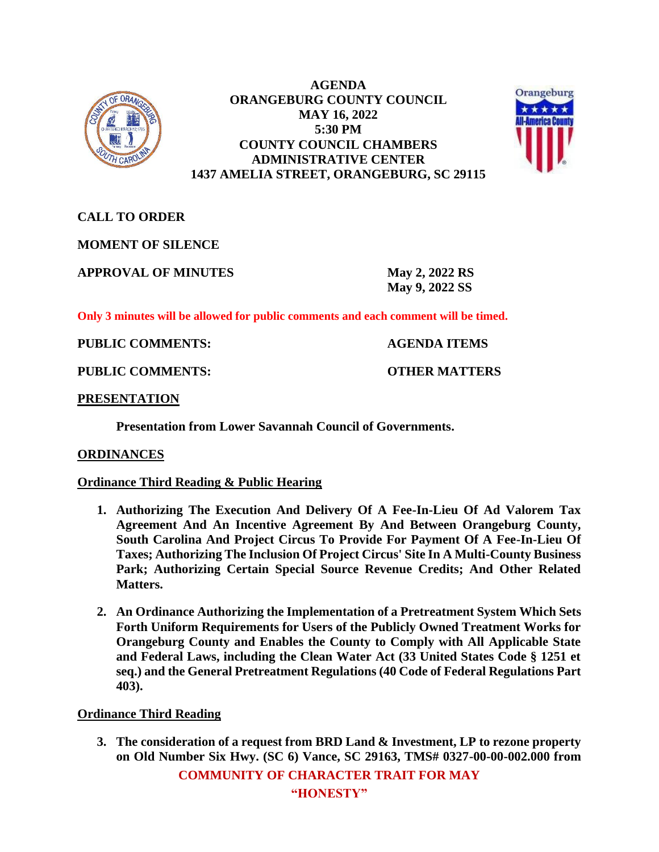

**AGENDA ORANGEBURG COUNTY COUNCIL MAY 16, 2022 5:30 PM COUNTY COUNCIL CHAMBERS ADMINISTRATIVE CENTER 1437 AMELIA STREET, ORANGEBURG, SC 29115**



**CALL TO ORDER**

**MOMENT OF SILENCE**

**APPROVAL OF MINUTES May 2, 2022 RS**

**May 9, 2022 SS**

**Only 3 minutes will be allowed for public comments and each comment will be timed.**

**PUBLIC COMMENTS: AGENDA ITEMS**

**PUBLIC COMMENTS: OTHER MATTERS**

# **PRESENTATION**

**Presentation from Lower Savannah Council of Governments.**

# **ORDINANCES**

# **Ordinance Third Reading & Public Hearing**

- **1. Authorizing The Execution And Delivery Of A Fee-In-Lieu Of Ad Valorem Tax Agreement And An Incentive Agreement By And Between Orangeburg County, South Carolina And Project Circus To Provide For Payment Of A Fee-In-Lieu Of Taxes; Authorizing The Inclusion Of Project Circus' Site In A Multi-County Business Park; Authorizing Certain Special Source Revenue Credits; And Other Related Matters.**
- **2. An Ordinance Authorizing the Implementation of a Pretreatment System Which Sets Forth Uniform Requirements for Users of the Publicly Owned Treatment Works for Orangeburg County and Enables the County to Comply with All Applicable State and Federal Laws, including the Clean Water Act (33 United States Code § 1251 et seq.) and the General Pretreatment Regulations (40 Code of Federal Regulations Part 403).**

# **Ordinance Third Reading**

**3. The consideration of a request from BRD Land & Investment, LP to rezone property on Old Number Six Hwy. (SC 6) Vance, SC 29163, TMS# 0327-00-00-002.000 from** 

**COMMUNITY OF CHARACTER TRAIT FOR MAY**

**"HONESTY"**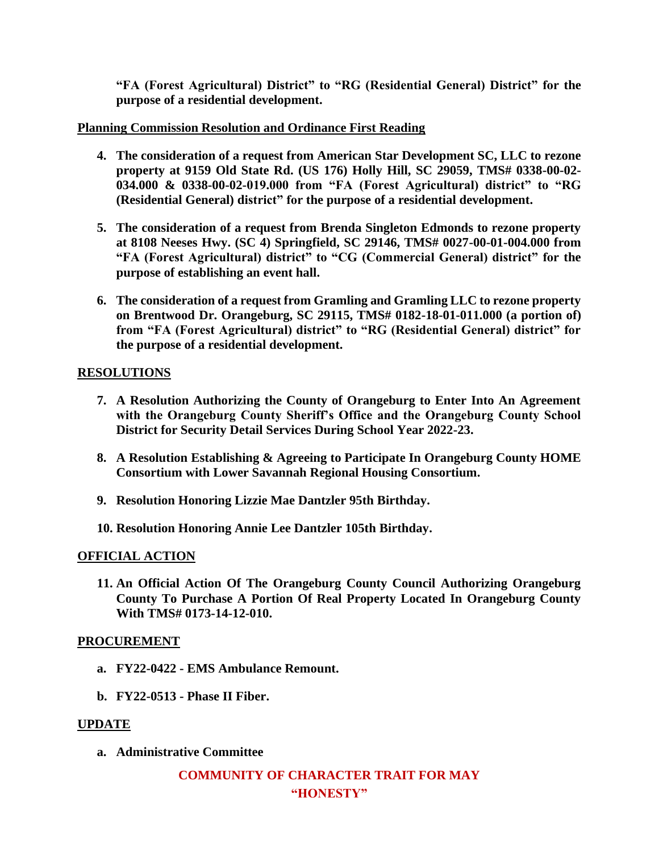**"FA (Forest Agricultural) District" to "RG (Residential General) District" for the purpose of a residential development.** 

### **Planning Commission Resolution and Ordinance First Reading**

- **4. The consideration of a request from American Star Development SC, LLC to rezone property at 9159 Old State Rd. (US 176) Holly Hill, SC 29059, TMS# 0338-00-02- 034.000 & 0338-00-02-019.000 from "FA (Forest Agricultural) district" to "RG (Residential General) district" for the purpose of a residential development.**
- **5. The consideration of a request from Brenda Singleton Edmonds to rezone property at 8108 Neeses Hwy. (SC 4) Springfield, SC 29146, TMS# 0027-00-01-004.000 from "FA (Forest Agricultural) district" to "CG (Commercial General) district" for the purpose of establishing an event hall.**
- **6. The consideration of a request from Gramling and Gramling LLC to rezone property on Brentwood Dr. Orangeburg, SC 29115, TMS# 0182-18-01-011.000 (a portion of) from "FA (Forest Agricultural) district" to "RG (Residential General) district" for the purpose of a residential development.**

### **RESOLUTIONS**

- **7. A Resolution Authorizing the County of Orangeburg to Enter Into An Agreement with the Orangeburg County Sheriff's Office and the Orangeburg County School District for Security Detail Services During School Year 2022-23.**
- **8. A Resolution Establishing & Agreeing to Participate In Orangeburg County HOME Consortium with Lower Savannah Regional Housing Consortium.**
- **9. Resolution Honoring Lizzie Mae Dantzler 95th Birthday.**
- **10. Resolution Honoring Annie Lee Dantzler 105th Birthday.**

#### **OFFICIAL ACTION**

**11. An Official Action Of The Orangeburg County Council Authorizing Orangeburg County To Purchase A Portion Of Real Property Located In Orangeburg County With TMS# 0173-14-12-010.**

#### **PROCUREMENT**

- **a. FY22-0422 - EMS Ambulance Remount.**
- **b. FY22-0513 - Phase II Fiber.**

# **UPDATE**

**a. Administrative Committee** 

# **COMMUNITY OF CHARACTER TRAIT FOR MAY "HONESTY"**